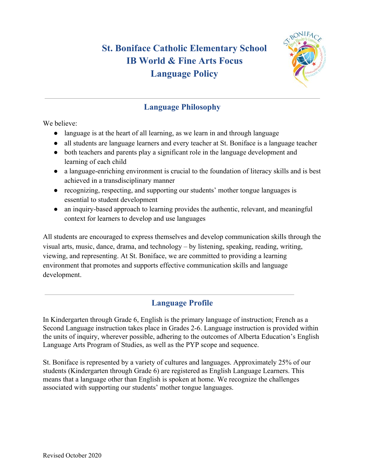# **St. Boniface Catholic Elementary School IB World & Fine Arts Focus Language Policy**



## **Language Philosophy**

We believe:

- language is at the heart of all learning, as we learn in and through language
- all students are language learners and every teacher at St. Boniface is a language teacher
- both teachers and parents play a significant role in the language development and learning of each child
- a language-enriching environment is crucial to the foundation of literacy skills and is best achieved in a transdisciplinary manner
- recognizing, respecting, and supporting our students' mother tongue languages is essential to student development
- an inquiry-based approach to learning provides the authentic, relevant, and meaningful context for learners to develop and use languages

All students are encouraged to express themselves and develop communication skills through the visual arts, music, dance, drama, and technology – by listening, speaking, reading, writing, viewing, and representing. At St. Boniface, we are committed to providing a learning environment that promotes and supports effective communication skills and language development.

# **Language Profile**

In Kindergarten through Grade 6, English is the primary language of instruction; French as a Second Language instruction takes place in Grades 2-6. Language instruction is provided within the units of inquiry, wherever possible, adhering to the outcomes of Alberta Education's English Language Arts Program of Studies, as well as the PYP scope and sequence.

St. Boniface is represented by a variety of cultures and languages. Approximately 25% of our students (Kindergarten through Grade 6) are registered as English Language Learners. This means that a language other than English is spoken at home. We recognize the challenges associated with supporting our students' mother tongue languages.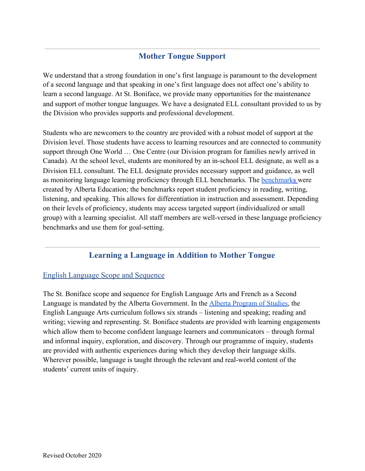### **Mother Tongue Support**

We understand that a strong foundation in one's first language is paramount to the development of a second language and that speaking in one's first language does not affect one's ability to learn a second language. At St. Boniface, we provide many opportunities for the maintenance and support of mother tongue languages. We have a designated ELL consultant provided to us by the Division who provides supports and professional development.

Students who are newcomers to the country are provided with a robust model of support at the Division level. Those students have access to learning resources and are connected to community support through One World … One Centre (our Division program for families newly arrived in Canada). At the school level, students are monitored by an in-school ELL designate, as well as a Division ELL consultant. The ELL designate provides necessary support and guidance, as well as monitoring language learning proficiency through ELL benchmarks. The [benchmarks](http://www.learnalberta.ca/content/eslapb/search.html) were created by Alberta Education; the benchmarks report student proficiency in reading, writing, listening, and speaking. This allows for differentiation in instruction and assessment. Depending on their levels of proficiency, students may access targeted support (individualized or small group) with a learning specialist. All staff members are well-versed in these language proficiency benchmarks and use them for goal-setting.

### **Learning a Language in Addition to Mother Tongue**

#### English Language Scope and Sequence

The St. Boniface scope and sequence for English Language Arts and French as a Second Language is mandated by the Alberta Government. In the [Alberta Program of Studies,](http://www.learnalberta.ca/ProgramOfStudy.aspx?lang=en&ProgramId=404703#) the English Language Arts curriculum follows six strands – listening and speaking; reading and writing; viewing and representing. St. Boniface students are provided with learning engagements which allow them to become confident language learners and communicators – through formal and informal inquiry, exploration, and discovery. Through our programme of inquiry, students are provided with authentic experiences during which they develop their language skills. Wherever possible, language is taught through the relevant and real-world content of the students' current units of inquiry.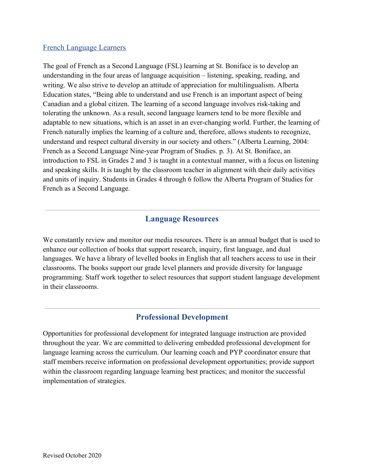#### French Language Learners

The goal of French as a Second Language (FSL) learning at St. Boniface is to develop an understanding in the four areas of language acquisition – listening, speaking, reading, and writing. We also strive to develop an attitude of appreciation for multilingualism. Alberta Education states, "Being able to understand and use French is an important aspect of being Canadian and a global citizen. The learning of a second language involves risk-taking and tolerating the unknown. As a result, second language learners tend to be more flexible and adaptable to new situations, which is an asset in an ever-changing world. Further, the learning of French naturally implies the learning of a culture and, therefore, allows students to recognize, understand and respect cultural diversity in our society and others." (Alberta Learning, 2004: French as a Second Language Nine-year Program of Studies. p. 3). At St. Boniface, an introduction to FSL in Grades 2 and 3 is taught in a contextual manner, with a focus on listening and speaking skills. It is taught by the classroom teacher in alignment with their daily activities and units of inquiry. Students in Grades 4 through 6 follow the Alberta Program of Studies for French as a Second Language.

#### **Language Resources**

We constantly review and monitor our media resources. There is an annual budget that is used to enhance our collection of books that support research, inquiry, first language, and dual languages. We have a library of levelled books in English that all teachers access to use in their classrooms. The books support our grade level planners and provide diversity for language programming. Staff work together to select resources that support student language development in their classrooms.

#### **Professional Development**

Opportunities for professional development for integrated language instruction are provided throughout the year. We are committed to delivering embedded professional development for language learning across the curriculum. Our learning coach and PYP coordinator ensure that staff members receive information on professional development opportunities; provide support within the classroom regarding language learning best practices; and monitor the successful implementation of strategies.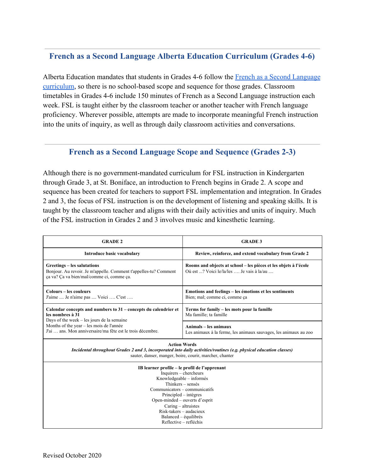### **French as a Second Language Alberta Education Curriculum (Grades 4-6)**

Alberta Education mandates that students in Grades 4-6 follow the [French as a Second Language](https://education.alberta.ca/media/160306/nine_year.pdf) [curriculum](https://education.alberta.ca/media/160306/nine_year.pdf), so there is no school-based scope and sequence for those grades. Classroom timetables in Grades 4-6 include 150 minutes of French as a Second Language instruction each week. FSL is taught either by the classroom teacher or another teacher with French language proficiency. Wherever possible, attempts are made to incorporate meaningful French instruction into the units of inquiry, as well as through daily classroom activities and conversations.

#### **French as a Second Language Scope and Sequence (Grades 2-3)**

Although there is no government-mandated curriculum for FSL instruction in Kindergarten through Grade 3, at St. Boniface, an introduction to French begins in Grade 2. A scope and sequence has been created for teachers to support FSL implementation and integration. In Grades 2 and 3, the focus of FSL instruction is on the development of listening and speaking skills. It is taught by the classroom teacher and aligns with their daily activities and units of inquiry. Much of the FSL instruction in Grades 2 and 3 involves music and kinesthetic learning.

| <b>GRADE 2</b>                                                                                                                                                                                                                                                                                                            | <b>GRADE 3</b>                                                                                                |
|---------------------------------------------------------------------------------------------------------------------------------------------------------------------------------------------------------------------------------------------------------------------------------------------------------------------------|---------------------------------------------------------------------------------------------------------------|
| <b>Introduce basic vocabulary</b>                                                                                                                                                                                                                                                                                         | Review, reinforce, and extend vocabulary from Grade 2                                                         |
| Greetings – les salutations<br>Bonjour. Au revoir. Je m'appelle. Comment t'appelles-tu? Comment<br>ça va? Ça va bien/mal/comme ci, comme ça.                                                                                                                                                                              | Rooms and objects at school – les pièces et les objets à l'école<br>Où est ? Voici le/la/les  Je vais à la/au |
| Colours – les couleurs<br>J'aime  Je n'aime pas  Voici  C'est                                                                                                                                                                                                                                                             | Emotions and feelings - les émotions et les sentiments<br>Bien; mal; comme ci, comme ça                       |
| Calendar concepts and numbers to 31 – concepts du calendrier et<br>les nombres à 31<br>Days of the week - les jours de la semaine<br>Months of the year – les mois de l'année<br>J'ai  ans. Mon anniversaire/ma fête est le trois décembre.                                                                               | Terms for family - les mots pour la famille<br>Ma famille; ta famille                                         |
|                                                                                                                                                                                                                                                                                                                           | Animals - les animaux<br>Les animaux à la ferme, les animaux sauvages, les animaux au zoo                     |
| <b>Action Words</b><br>Incidental throughout Grades 2 and 3, incorporated into daily activities/routines (e.g. physical education classes)<br>sauter, danser, manger, boire, courir, marcher, chanter                                                                                                                     |                                                                                                               |
| IB learner profile – le profil de l'apprenant<br>Inquirers - chercheurs<br>Knowledgeable - informés<br>Thinkers – sensés<br>Communicators - communicatifs<br>Principled – intègres<br>Open-minded – ouverts d'esprit<br>Caring – altruistes<br>Risk-takers - audacieux<br>Balanced – équilibrés<br>Reflective – refléchis |                                                                                                               |